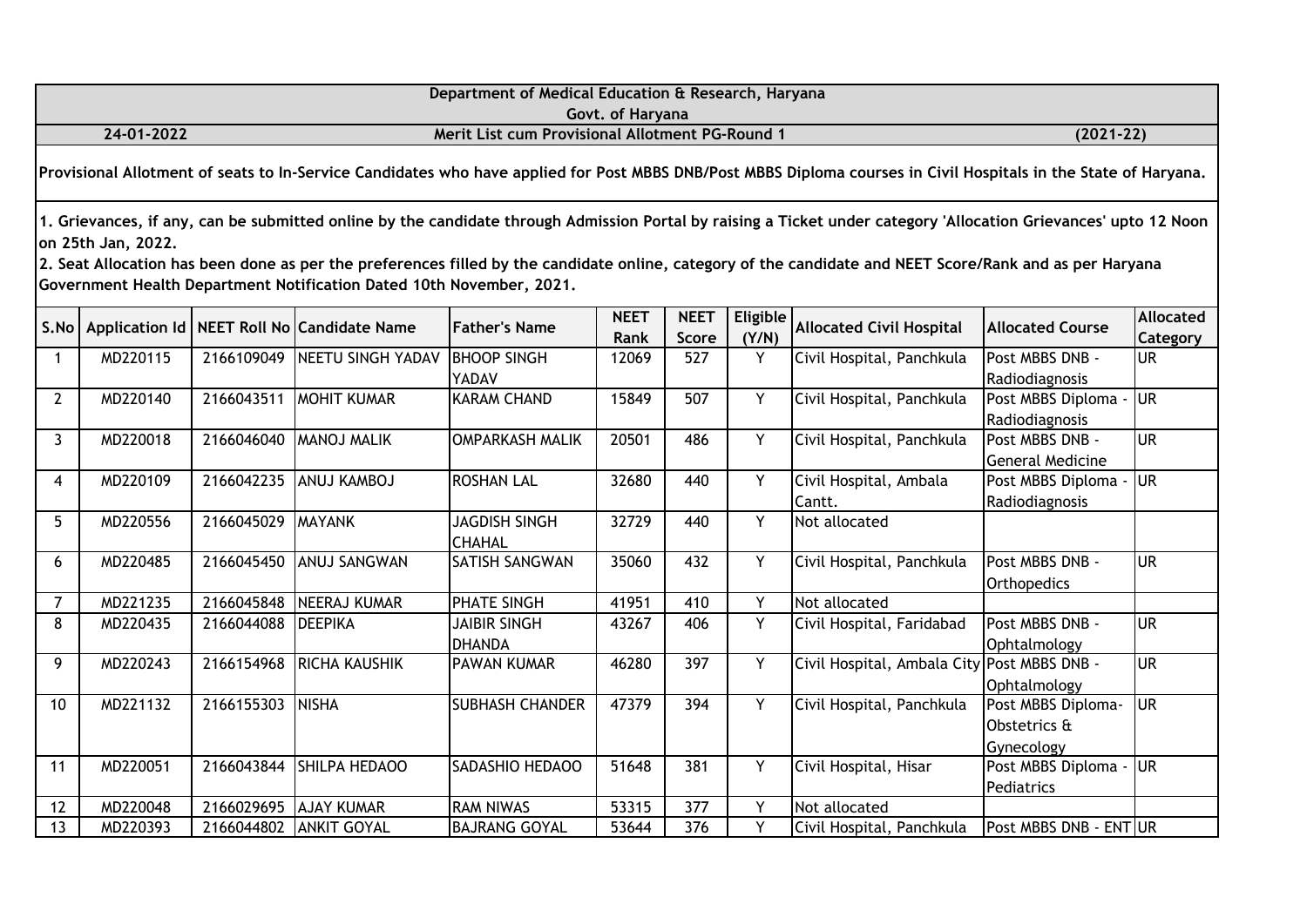|                                                                                                                                                                  |                                                                     |            |                                                                      | Department of Medical Education & Research, Haryana |                     |                      |                          |                                                                                                                                                                                                                                                                                                                              |                                                  |                              |  |  |
|------------------------------------------------------------------------------------------------------------------------------------------------------------------|---------------------------------------------------------------------|------------|----------------------------------------------------------------------|-----------------------------------------------------|---------------------|----------------------|--------------------------|------------------------------------------------------------------------------------------------------------------------------------------------------------------------------------------------------------------------------------------------------------------------------------------------------------------------------|--------------------------------------------------|------------------------------|--|--|
|                                                                                                                                                                  | Govt. of Haryana<br>Merit List cum Provisional Allotment PG-Round 1 |            |                                                                      |                                                     |                     |                      |                          |                                                                                                                                                                                                                                                                                                                              |                                                  |                              |  |  |
|                                                                                                                                                                  | 24-01-2022                                                          |            |                                                                      |                                                     |                     |                      |                          |                                                                                                                                                                                                                                                                                                                              | $(2021 - 22)$                                    |                              |  |  |
| Provisional Allotment of seats to In-Service Candidates who have applied for Post MBBS DNB/Post MBBS Diploma courses in Civil Hospitals in the State of Haryana. |                                                                     |            |                                                                      |                                                     |                     |                      |                          |                                                                                                                                                                                                                                                                                                                              |                                                  |                              |  |  |
|                                                                                                                                                                  | on 25th Jan, 2022.                                                  |            | Government Health Department Notification Dated 10th November, 2021. |                                                     |                     |                      |                          | 1. Grievances, if any, can be submitted online by the candidate through Admission Portal by raising a Ticket under category 'Allocation Grievances' upto 12 Noon<br>2. Seat Allocation has been done as per the preferences filled by the candidate online, category of the candidate and NEET Score/Rank and as per Haryana |                                                  |                              |  |  |
| S.No                                                                                                                                                             |                                                                     |            | Application Id   NEET Roll No   Candidate Name                       | <b>Father's Name</b>                                | <b>NEET</b><br>Rank | <b>NEET</b><br>Score | <b>Eligible</b><br>(Y/N) | <b>Allocated Civil Hospital</b>                                                                                                                                                                                                                                                                                              | <b>Allocated Course</b>                          | <b>Allocated</b><br>Category |  |  |
| $\mathbf{1}$                                                                                                                                                     | MD220115                                                            | 2166109049 | <b>NEETU SINGH YADAV</b>                                             | <b>BHOOP SINGH</b><br>YADAV                         | 12069               | 527                  | Y                        | Civil Hospital, Panchkula                                                                                                                                                                                                                                                                                                    | Post MBBS DNB -<br>Radiodiagnosis                | <b>UR</b>                    |  |  |
| $\overline{2}$                                                                                                                                                   | MD220140                                                            | 2166043511 | <b>MOHIT KUMAR</b>                                                   | <b>KARAM CHAND</b>                                  | 15849               | 507                  | Y.                       | Civil Hospital, Panchkula                                                                                                                                                                                                                                                                                                    | Post MBBS Diploma -<br>Radiodiagnosis            | <b>UR</b>                    |  |  |
| $\mathbf{3}$                                                                                                                                                     | MD220018                                                            | 2166046040 | <b>MANOJ MALIK</b>                                                   | <b>OMPARKASH MALIK</b>                              | 20501               | 486                  | Y.                       | Civil Hospital, Panchkula                                                                                                                                                                                                                                                                                                    | Post MBBS DNB -<br><b>General Medicine</b>       | <b>UR</b>                    |  |  |
| $\overline{4}$                                                                                                                                                   | MD220109                                                            | 2166042235 | ANUJ KAMBOJ                                                          | <b>ROSHAN LAL</b>                                   | 32680               | 440                  | Y                        | Civil Hospital, Ambala<br>Cantt.                                                                                                                                                                                                                                                                                             | Post MBBS Diploma -<br>Radiodiagnosis            | <b>UR</b>                    |  |  |
| 5                                                                                                                                                                | MD220556                                                            | 2166045029 | <b>MAYANK</b>                                                        | <b>JAGDISH SINGH</b><br><b>CHAHAL</b>               | 32729               | 440                  | Y                        | Not allocated                                                                                                                                                                                                                                                                                                                |                                                  |                              |  |  |
| 6                                                                                                                                                                | MD220485                                                            | 2166045450 | ANUJ SANGWAN                                                         | <b>SATISH SANGWAN</b>                               | 35060               | 432                  | Y                        | Civil Hospital, Panchkula                                                                                                                                                                                                                                                                                                    | Post MBBS DNB -<br>Orthopedics                   | <b>UR</b>                    |  |  |
| $\overline{7}$                                                                                                                                                   | MD221235                                                            | 2166045848 | <b>NEERAJ KUMAR</b>                                                  | <b>PHATE SINGH</b>                                  | 41951               | 410                  | Y                        | Not allocated                                                                                                                                                                                                                                                                                                                |                                                  |                              |  |  |
| 8                                                                                                                                                                | MD220435                                                            | 2166044088 | <b>DEEPIKA</b>                                                       | <b>JAIBIR SINGH</b><br><b>DHANDA</b>                | 43267               | 406                  | Y                        | Civil Hospital, Faridabad                                                                                                                                                                                                                                                                                                    | Post MBBS DNB -<br>Ophtalmology                  | <b>UR</b>                    |  |  |
| 9                                                                                                                                                                | MD220243                                                            | 2166154968 | RICHA KAUSHIK                                                        | PAWAN KUMAR                                         | 46280               | 397                  | Y                        | Civil Hospital, Ambala City Post MBBS DNB -                                                                                                                                                                                                                                                                                  | Ophtalmology                                     | <b>UR</b>                    |  |  |
| 10                                                                                                                                                               | MD221132                                                            | 2166155303 | <b>NISHA</b>                                                         | <b>SUBHASH CHANDER</b>                              | 47379               | 394                  | Y.                       | Civil Hospital, Panchkula                                                                                                                                                                                                                                                                                                    | Post MBBS Diploma-<br>Obstetrics &<br>Gynecology | <b>UR</b>                    |  |  |
| 11                                                                                                                                                               | MD220051                                                            | 2166043844 | SHILPA HEDAOO                                                        | SADASHIO HEDAOO                                     | 51648               | 381                  | Y.                       | Civil Hospital, Hisar                                                                                                                                                                                                                                                                                                        | Post MBBS Diploma -<br>Pediatrics                | <b>UR</b>                    |  |  |
| 12                                                                                                                                                               | MD220048                                                            | 2166029695 | <b>AJAY KUMAR</b>                                                    | <b>RAM NIWAS</b>                                    | 53315               | 377                  | Y                        | Not allocated                                                                                                                                                                                                                                                                                                                |                                                  |                              |  |  |
| 13                                                                                                                                                               | MD220393                                                            | 2166044802 | <b>ANKIT GOYAL</b>                                                   | <b>BAJRANG GOYAL</b>                                | 53644               | 376                  | Y                        | Civil Hospital, Panchkula                                                                                                                                                                                                                                                                                                    | Post MBBS DNB - ENT UR                           |                              |  |  |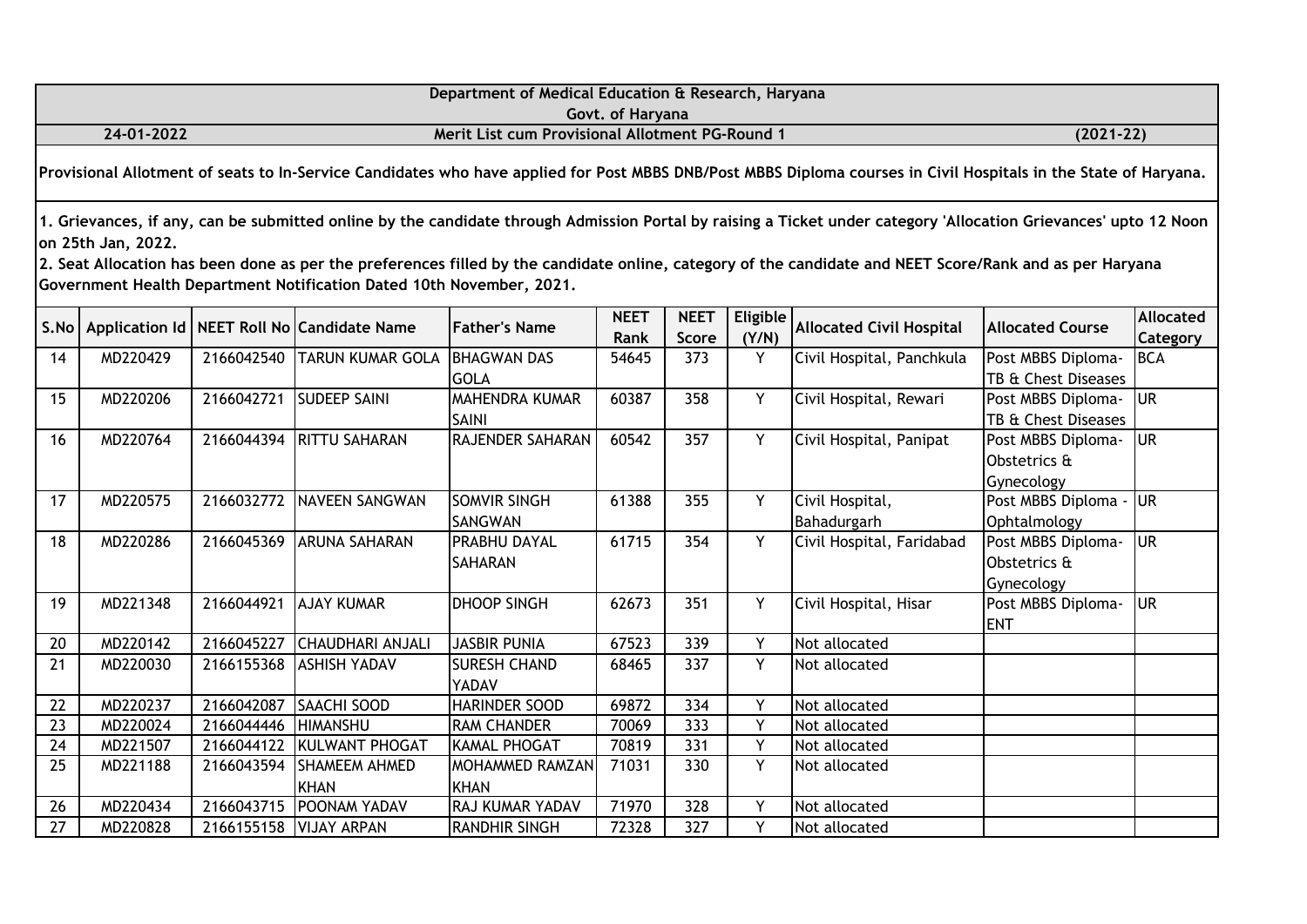|                                                                                                                                                                  |                    |                       |                                                                      |                                                        | Govt. of Haryana    |                      |                   |                                                                                                                                                                                                                                                                                                                              |                                                  |                       |  |  |
|------------------------------------------------------------------------------------------------------------------------------------------------------------------|--------------------|-----------------------|----------------------------------------------------------------------|--------------------------------------------------------|---------------------|----------------------|-------------------|------------------------------------------------------------------------------------------------------------------------------------------------------------------------------------------------------------------------------------------------------------------------------------------------------------------------------|--------------------------------------------------|-----------------------|--|--|
|                                                                                                                                                                  | 24-01-2022         |                       |                                                                      | <b>Merit List cum Provisional Allotment PG-Round 1</b> | $(2021 - 22)$       |                      |                   |                                                                                                                                                                                                                                                                                                                              |                                                  |                       |  |  |
| Provisional Allotment of seats to In-Service Candidates who have applied for Post MBBS DNB/Post MBBS Diploma courses in Civil Hospitals in the State of Haryana. |                    |                       |                                                                      |                                                        |                     |                      |                   |                                                                                                                                                                                                                                                                                                                              |                                                  |                       |  |  |
|                                                                                                                                                                  | on 25th Jan, 2022. |                       | Government Health Department Notification Dated 10th November, 2021. |                                                        |                     |                      |                   | 1. Grievances, if any, can be submitted online by the candidate through Admission Portal by raising a Ticket under category 'Allocation Grievances' upto 12 Noon<br>2. Seat Allocation has been done as per the preferences filled by the candidate online, category of the candidate and NEET Score/Rank and as per Haryana |                                                  |                       |  |  |
|                                                                                                                                                                  |                    |                       | S.No   Application Id   NEET Roll No Candidate Name                  | <b>Father's Name</b>                                   | <b>NEET</b><br>Rank | <b>NEET</b><br>Score | Eligible<br>(Y/N) | <b>Allocated Civil Hospital</b>                                                                                                                                                                                                                                                                                              | <b>Allocated Course</b>                          | Allocated<br>Category |  |  |
| 14                                                                                                                                                               | MD220429           |                       | 2166042540 TARUN KUMAR GOLA                                          | <b>BHAGWAN DAS</b><br><b>GOLA</b>                      | 54645               | 373                  | Y                 | Civil Hospital, Panchkula                                                                                                                                                                                                                                                                                                    | Post MBBS Diploma-<br>TB & Chest Diseases        | BCA                   |  |  |
| 15                                                                                                                                                               | MD220206           |                       | 2166042721 SUDEEP SAINI                                              | <b>MAHENDRA KUMAR</b><br><b>SAINI</b>                  | 60387               | 358                  | Y                 | Civil Hospital, Rewari                                                                                                                                                                                                                                                                                                       | Post MBBS Diploma-<br>TB & Chest Diseases        | lur.                  |  |  |
| 16                                                                                                                                                               | MD220764           |                       | 2166044394 RITTU SAHARAN                                             | RAJENDER SAHARAN                                       | 60542               | 357                  | Y                 | Civil Hospital, Panipat                                                                                                                                                                                                                                                                                                      | Post MBBS Diploma-<br>Obstetrics &<br>Gynecology | <b>UR</b>             |  |  |
| 17                                                                                                                                                               | MD220575           |                       | 2166032772 NAVEEN SANGWAN                                            | <b>SOMVIR SINGH</b><br><b>SANGWAN</b>                  | 61388               | 355                  | Y                 | Civil Hospital,<br>Bahadurgarh                                                                                                                                                                                                                                                                                               | Post MBBS Diploma -<br>Ophtalmology              | <b>JUR</b>            |  |  |
| 18                                                                                                                                                               | MD220286           |                       | 2166045369 ARUNA SAHARAN                                             | <b>PRABHU DAYAL</b><br><b>SAHARAN</b>                  | 61715               | 354                  | Y                 | Civil Hospital, Faridabad                                                                                                                                                                                                                                                                                                    | Post MBBS Diploma-<br>Obstetrics &<br>Gynecology | <b>UR</b>             |  |  |
| 19                                                                                                                                                               | MD221348           | 2166044921 AJAY KUMAR |                                                                      | <b>DHOOP SINGH</b>                                     | 62673               | 351                  | Y                 | Civil Hospital, Hisar                                                                                                                                                                                                                                                                                                        | Post MBBS Diploma-<br><b>ENT</b>                 | lur                   |  |  |
| 20                                                                                                                                                               | MD220142           | 2166045227            | <b>CHAUDHARI ANJALI</b>                                              | <b>JASBIR PUNIA</b>                                    | 67523               | 339                  | $\overline{Y}$    | Not allocated                                                                                                                                                                                                                                                                                                                |                                                  |                       |  |  |
| 21                                                                                                                                                               | MD220030           |                       | 2166155368 ASHISH YADAV                                              | <b>SURESH CHAND</b><br><b>YADAV</b>                    | 68465               | 337                  | Y                 | Not allocated                                                                                                                                                                                                                                                                                                                |                                                  |                       |  |  |
| 22                                                                                                                                                               | MD220237           | 2166042087            | <b>SAACHI SOOD</b>                                                   | <b>HARINDER SOOD</b>                                   | 69872               | 334                  | Y                 | Not allocated                                                                                                                                                                                                                                                                                                                |                                                  |                       |  |  |
| 23                                                                                                                                                               | MD220024           | 2166044446            | <b>HIMANSHU</b>                                                      | <b>RAM CHANDER</b>                                     | 70069               | 333                  | Y                 | Not allocated                                                                                                                                                                                                                                                                                                                |                                                  |                       |  |  |
| 24                                                                                                                                                               | MD221507           | 2166044122            | KULWANT PHOGAT                                                       | KAMAL PHOGAT                                           | 70819               | 331                  | Y                 | Not allocated                                                                                                                                                                                                                                                                                                                |                                                  |                       |  |  |
| 25                                                                                                                                                               | MD221188           |                       | 2166043594 SHAMEEM AHMED<br><b>KHAN</b>                              | MOHAMMED RAMZAN<br><b>KHAN</b>                         | 71031               | 330                  | Y                 | Not allocated                                                                                                                                                                                                                                                                                                                |                                                  |                       |  |  |
| 26                                                                                                                                                               | MD220434           | 2166043715            | POONAM YADAV                                                         | RAJ KUMAR YADAV                                        | 71970               | 328                  | Y                 | Not allocated                                                                                                                                                                                                                                                                                                                |                                                  |                       |  |  |
| 27                                                                                                                                                               | MD220828           |                       | 2166155158 VIJAY ARPAN                                               | <b>RANDHIR SINGH</b>                                   | 72328               | $\overline{327}$     | Y                 | Not allocated                                                                                                                                                                                                                                                                                                                |                                                  |                       |  |  |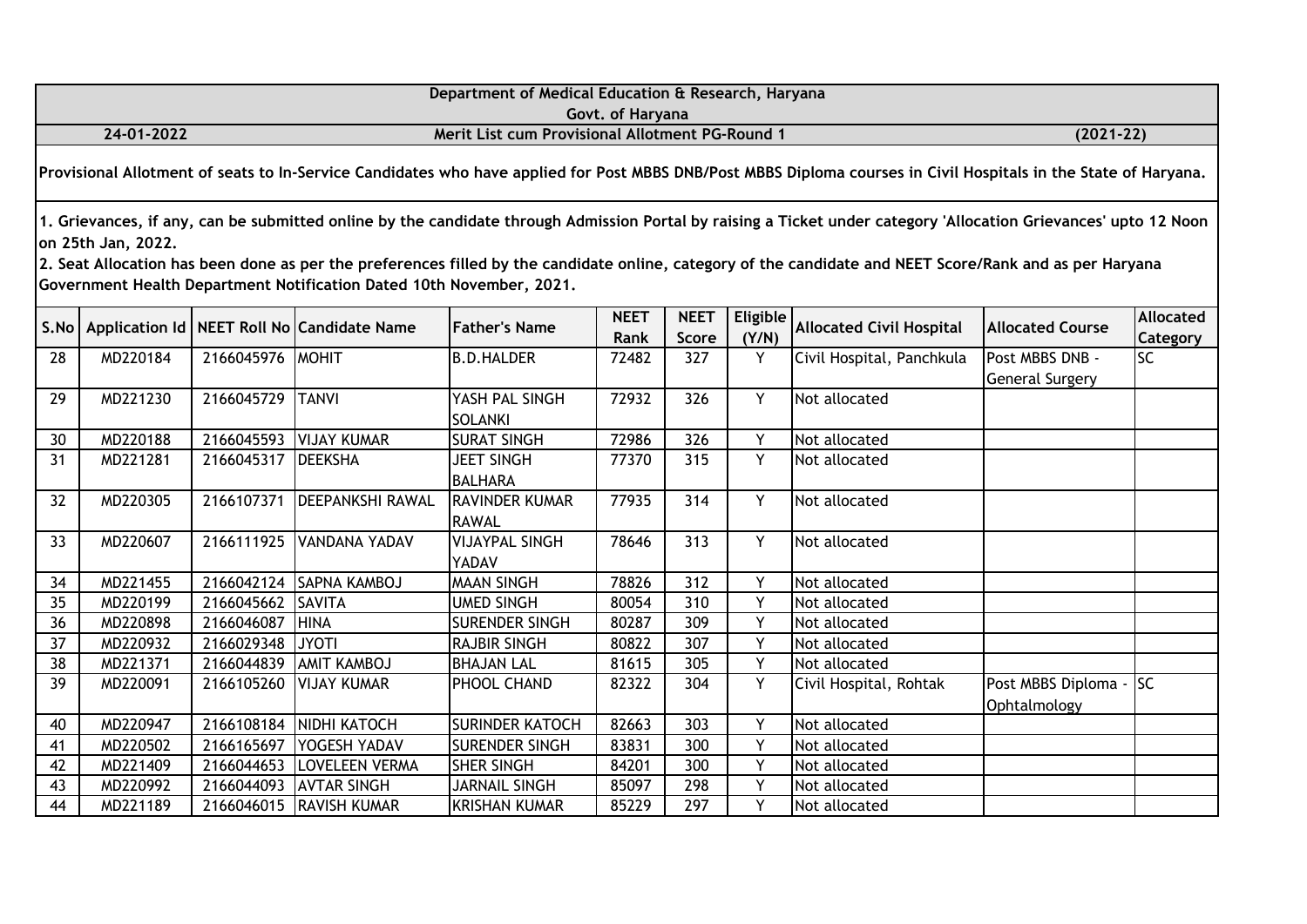| Department of Medical Education & Research, Haryana                                                                                                              |                                                                                                                                                                                                                                                                                                                                                                                                                            |            |                                                 |                                       |                     |                      |                          |                                 |                                           |                                     |  |  |
|------------------------------------------------------------------------------------------------------------------------------------------------------------------|----------------------------------------------------------------------------------------------------------------------------------------------------------------------------------------------------------------------------------------------------------------------------------------------------------------------------------------------------------------------------------------------------------------------------|------------|-------------------------------------------------|---------------------------------------|---------------------|----------------------|--------------------------|---------------------------------|-------------------------------------------|-------------------------------------|--|--|
|                                                                                                                                                                  |                                                                                                                                                                                                                                                                                                                                                                                                                            |            |                                                 |                                       | Govt. of Haryana    |                      |                          |                                 |                                           |                                     |  |  |
|                                                                                                                                                                  | 24-01-2022                                                                                                                                                                                                                                                                                                                                                                                                                 |            | Merit List cum Provisional Allotment PG-Round 1 |                                       |                     |                      |                          | $(2021-22)$                     |                                           |                                     |  |  |
| Provisional Allotment of seats to In-Service Candidates who have applied for Post MBBS DNB/Post MBBS Diploma courses in Civil Hospitals in the State of Haryana. |                                                                                                                                                                                                                                                                                                                                                                                                                            |            |                                                 |                                       |                     |                      |                          |                                 |                                           |                                     |  |  |
|                                                                                                                                                                  | 1. Grievances, if any, can be submitted online by the candidate through Admission Portal by raising a Ticket under category 'Allocation Grievances' upto 12 Noon<br>on 25th Jan, 2022.<br>2. Seat Allocation has been done as per the preferences filled by the candidate online, category of the candidate and NEET Score/Rank and as per Haryana<br>Government Health Department Notification Dated 10th November, 2021. |            |                                                 |                                       |                     |                      |                          |                                 |                                           |                                     |  |  |
| S.No                                                                                                                                                             |                                                                                                                                                                                                                                                                                                                                                                                                                            |            | Application Id   NEET Roll No   Candidate Name  | <b>Father's Name</b>                  | <b>NEET</b><br>Rank | <b>NEET</b><br>Score | <b>Eligible</b><br>(Y/N) | <b>Allocated Civil Hospital</b> | <b>Allocated Course</b>                   | <b>Allocated</b><br><b>Category</b> |  |  |
| 28                                                                                                                                                               | MD220184                                                                                                                                                                                                                                                                                                                                                                                                                   | 2166045976 | <b>MOHIT</b>                                    | <b>B.D.HALDER</b>                     | 72482               | 327                  | Y                        | Civil Hospital, Panchkula       | Post MBBS DNB -<br><b>General Surgery</b> | <b>SC</b>                           |  |  |
| 29                                                                                                                                                               | MD221230                                                                                                                                                                                                                                                                                                                                                                                                                   | 2166045729 | <b>TANVI</b>                                    | YASH PAL SINGH<br><b>SOLANKI</b>      | 72932               | 326                  | Y                        | Not allocated                   |                                           |                                     |  |  |
| 30                                                                                                                                                               | MD220188                                                                                                                                                                                                                                                                                                                                                                                                                   | 2166045593 | <b>VIJAY KUMAR</b>                              | <b>SURAT SINGH</b>                    | 72986               | 326                  | Y                        | Not allocated                   |                                           |                                     |  |  |
| 31                                                                                                                                                               | MD221281                                                                                                                                                                                                                                                                                                                                                                                                                   | 2166045317 | <b>DEEKSHA</b>                                  | <b>JEET SINGH</b><br><b>BALHARA</b>   | 77370               | 315                  | Y                        | Not allocated                   |                                           |                                     |  |  |
| 32                                                                                                                                                               | MD220305                                                                                                                                                                                                                                                                                                                                                                                                                   | 2166107371 | <b>DEEPANKSHI RAWAL</b>                         | <b>RAVINDER KUMAR</b><br><b>RAWAL</b> | 77935               | 314                  | Y                        | Not allocated                   |                                           |                                     |  |  |
| 33                                                                                                                                                               | MD220607                                                                                                                                                                                                                                                                                                                                                                                                                   | 2166111925 | VANDANA YADAV                                   | <b>VIJAYPAL SINGH</b><br>YADAV        | 78646               | 313                  | Y                        | Not allocated                   |                                           |                                     |  |  |
| 34                                                                                                                                                               | MD221455                                                                                                                                                                                                                                                                                                                                                                                                                   | 2166042124 | SAPNA KAMBOJ                                    | <b>MAAN SINGH</b>                     | 78826               | 312                  | Y                        | Not allocated                   |                                           |                                     |  |  |
| 35                                                                                                                                                               | MD220199                                                                                                                                                                                                                                                                                                                                                                                                                   | 2166045662 | <b>SAVITA</b>                                   | <b>UMED SINGH</b>                     | 80054               | 310                  | Y                        | Not allocated                   |                                           |                                     |  |  |
| 36                                                                                                                                                               | MD220898                                                                                                                                                                                                                                                                                                                                                                                                                   | 2166046087 | <b>HINA</b>                                     | <b>SURENDER SINGH</b>                 | 80287               | 309                  | Y                        | Not allocated                   |                                           |                                     |  |  |
| 37                                                                                                                                                               | MD220932                                                                                                                                                                                                                                                                                                                                                                                                                   | 2166029348 | <b>JYOTI</b>                                    | <b>RAJBIR SINGH</b>                   | 80822               | 307                  | Y                        | Not allocated                   |                                           |                                     |  |  |
| 38                                                                                                                                                               | MD221371                                                                                                                                                                                                                                                                                                                                                                                                                   | 2166044839 | <b>AMIT KAMBOJ</b>                              | <b>BHAJAN LAL</b>                     | 81615               | 305                  | Y                        | Not allocated                   |                                           |                                     |  |  |
| 39                                                                                                                                                               | MD220091                                                                                                                                                                                                                                                                                                                                                                                                                   | 2166105260 | <b>VIJAY KUMAR</b>                              | PHOOL CHAND                           | 82322               | 304                  | Y                        | Civil Hospital, Rohtak          | Post MBBS Diploma -<br>Ophtalmology       | <b>SC</b>                           |  |  |
| 40                                                                                                                                                               | MD220947                                                                                                                                                                                                                                                                                                                                                                                                                   | 2166108184 | NIDHI KATOCH                                    | <b>SURINDER KATOCH</b>                | 82663               | 303                  | Y                        | Not allocated                   |                                           |                                     |  |  |
| 41                                                                                                                                                               | MD220502                                                                                                                                                                                                                                                                                                                                                                                                                   | 2166165697 | YOGESH YADAV                                    | <b>SURENDER SINGH</b>                 | 83831               | 300                  | Υ                        | Not allocated                   |                                           |                                     |  |  |
| 42                                                                                                                                                               | MD221409                                                                                                                                                                                                                                                                                                                                                                                                                   | 2166044653 | <b>LOVELEEN VERMA</b>                           | <b>SHER SINGH</b>                     | 84201               | 300                  | Y                        | Not allocated                   |                                           |                                     |  |  |
| 43                                                                                                                                                               | MD220992                                                                                                                                                                                                                                                                                                                                                                                                                   | 2166044093 | <b>AVTAR SINGH</b>                              | <b>JARNAIL SINGH</b>                  | 85097               | 298                  | Y                        | Not allocated                   |                                           |                                     |  |  |
| 44                                                                                                                                                               | MD221189                                                                                                                                                                                                                                                                                                                                                                                                                   | 2166046015 | <b>RAVISH KUMAR</b>                             | <b>KRISHAN KUMAR</b>                  | 85229               | 297                  | Y                        | Not allocated                   |                                           |                                     |  |  |